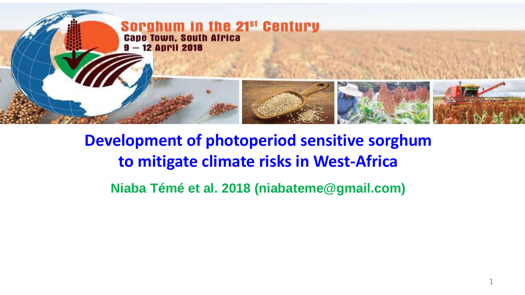

#### **Development of photoperiod sensitive sorghum to mitigate climate risks in West-Africa**

**Niaba Témé et al. 2018 (niabateme@gmail.com)**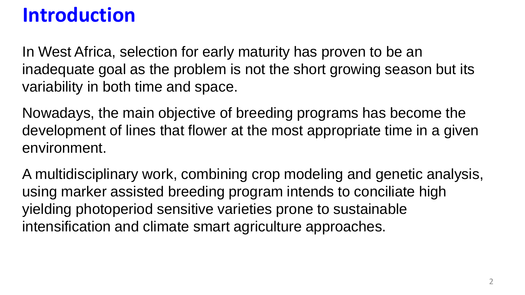## **Introduction**

In West Africa, selection for early maturity has proven to be an inadequate goal as the problem is not the short growing season but its variability in both time and space.

Nowadays, the main objective of breeding programs has become the development of lines that flower at the most appropriate time in a given environment.

A multidisciplinary work, combining crop modeling and genetic analysis, using marker assisted breeding program intends to conciliate high yielding photoperiod sensitive varieties prone to sustainable intensification and climate smart agriculture approaches.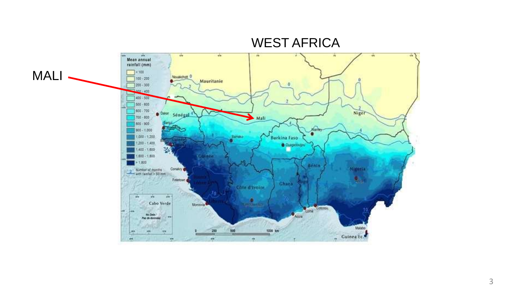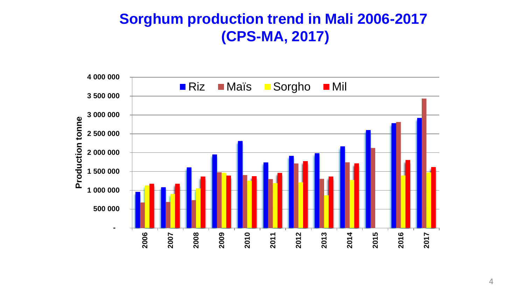#### **Sorghum production trend in Mali 2006-2017 (CPS-MA, 2017)**

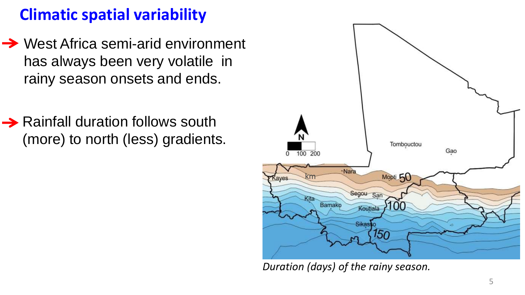#### **Climatic spatial variability**

- **→ West Africa semi-arid environment** has always been very volatile in rainy season onsets and ends.
- **→ Rainfall duration follows south** (more) to north (less) gradients.



*Duration (days) of the rainy season.*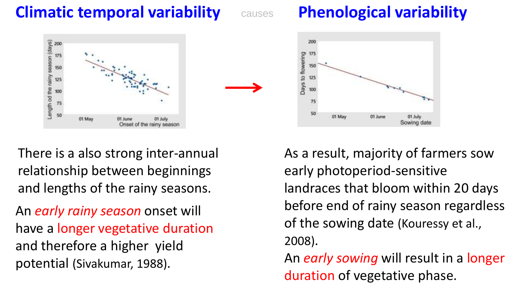#### **Climatic temporal variability**

### causes **Phenological variability**



There is a also strong inter-annual relationship between beginnings and lengths of the rainy seasons.

An *early rainy season* onset will have a longer vegetative duration and therefore a higher yield potential (Sivakumar, 1988).



As a result, majority of farmers sow early photoperiod-sensitive landraces that bloom within 20 days before end of rainy season regardless of the sowing date (Kouressy et al., 2008). An *early sowing* will result in a longer

duration of vegetative phase.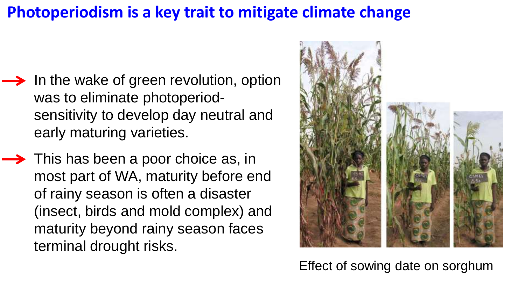#### **Photoperiodism is a key trait to mitigate climate change**

- $\rightarrow$  In the wake of green revolution, option was to eliminate photoperiodsensitivity to develop day neutral and early maturing varieties.
- $\rightarrow$  This has been a poor choice as, in most part of WA, maturity before end of rainy season is often a disaster (insect, birds and mold complex) and maturity beyond rainy season faces terminal drought risks.



Effect of sowing date on sorghum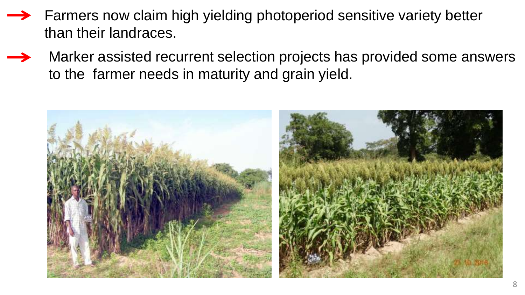- Farmers now claim high yielding photoperiod sensitive variety better than their landraces.
- Marker assisted recurrent selection projects has provided some answers to the farmer needs in maturity and grain yield.

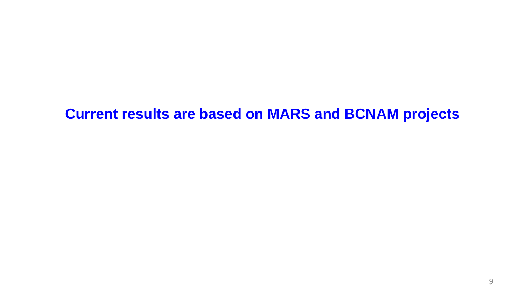#### **Current results are based on MARS and BCNAM projects**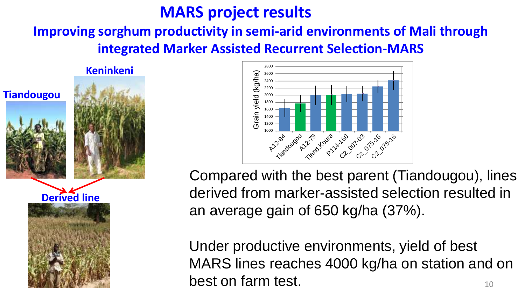#### **MARS project results**

#### **Improving sorghum productivity in semi-arid environments of Mali through integrated Marker Assisted Recurrent Selection-MARS**

**Keninkeni**







Compared with the best parent (Tiandougou), lines derived from marker-assisted selection resulted in an average gain of 650 kg/ha (37%).

10 Under productive environments, yield of best MARS lines reaches 4000 kg/ha on station and on best on farm test.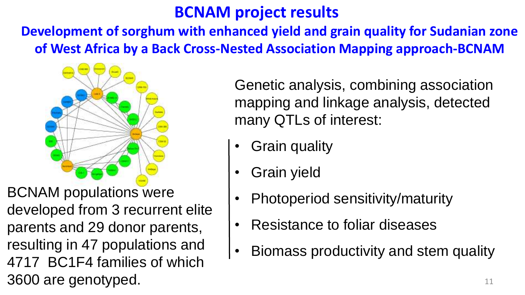#### **BCNAM project results**

**Development of sorghum with enhanced yield and grain quality for Sudanian zone of West Africa by a Back Cross-Nested Association Mapping approach-BCNAM**



BCNAM populations were developed from 3 recurrent elite parents and 29 donor parents, resulting in 47 populations and 4717 BC1F4 families of which 3600 are genotyped.

Genetic analysis, combining association mapping and linkage analysis, detected many QTLs of interest:

- Grain quality
- Grain yield
- Photoperiod sensitivity/maturity
- Resistance to foliar diseases
- Biomass productivity and stem quality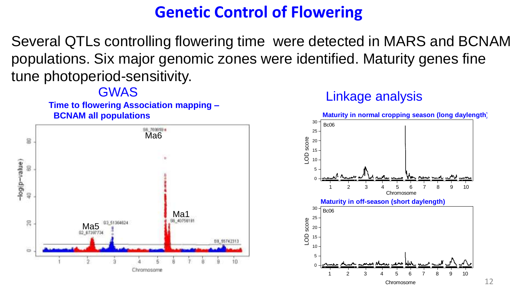#### **Genetic Control of Flowering**

Several QTLs controlling flowering time were detected in MARS and BCNAM populations. Six major genomic zones were identified. Maturity genes fine tune photoperiod-sensitivity.

**Time to flowering Association mapping – BCNAM all populations**



#### GWAS Linkage analysis

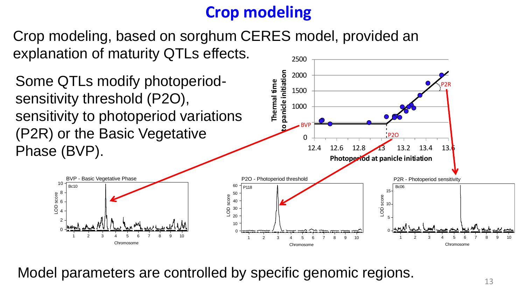#### **Crop modeling**

2500 Crop modeling, based on sorghum CERES model, provided an explanation of maturity QTLs effects.

Some QTLs modify photoperiodsensitivity threshold (P2O), sensitivity to photoperiod variations (P2R) or the Basic Vegetative Phase (BVP). 0 1000 1500 2000 12.4 12.6 12.8 13 13.2 13.4 13. **Thermal time to panicle initiation Photoperiod at panicle initiation** P2O BVP P2R 0 -2 4 6 LOD score<br>0<br>0<br>1 -10 Chromosome 1 2 3 4 5 6 7 8 9 10 BVP - Basic Vegetative Phase Bc10 0 + 10 20 30 40 LOD score 50 60 Chromosome 1 2 3 4 5 6 7 8 9 10 P2O - Photoperiod threshold P118 0 -l 5 - $10 -$ 15 Chromosome 1 2 3 4 5 6 7 8 9 10 P2R - Photoperiod sensitivity LOD score Bc06

Model parameters are controlled by specific genomic regions.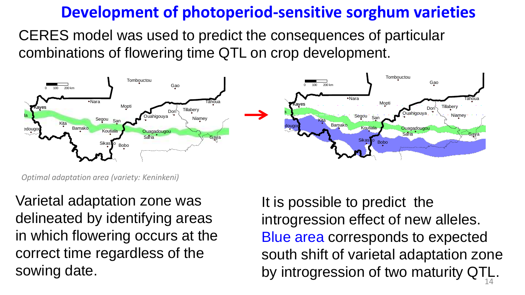#### **Development of photoperiod-sensitive sorghum varieties**

CERES model was used to predict the consequences of particular combinations of flowering time QTL on crop development.



*Optimal adaptation area (variety: Keninkeni)*

Varietal adaptation zone was delineated by identifying areas in which flowering occurs at the correct time regardless of the sowing date.

It is possible to predict the introgression effect of new alleles. Blue area corresponds to expected south shift of varietal adaptation zone by introgression of two maturity QTL. 14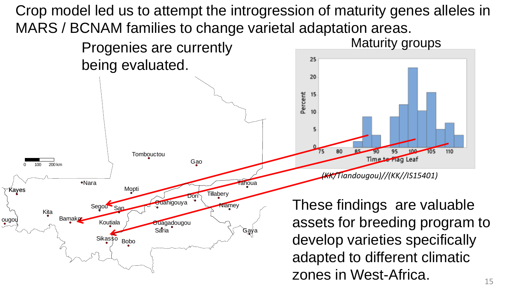Crop model led us to attempt the introgression of maturity genes alleles in MARS / BCNAM families to change varietal adaptation areas.

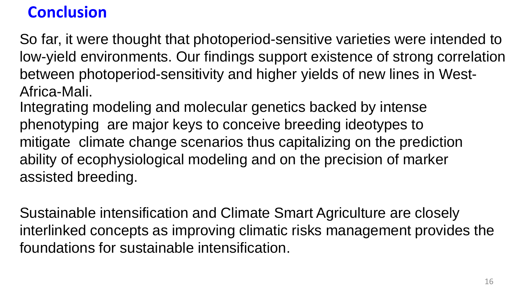#### **Conclusion**

So far, it were thought that photoperiod-sensitive varieties were intended to low-yield environments. Our findings support existence of strong correlation between photoperiod-sensitivity and higher yields of new lines in West-Africa-Mali.

Integrating modeling and molecular genetics backed by intense phenotyping are major keys to conceive breeding ideotypes to mitigate climate change scenarios thus capitalizing on the prediction ability of ecophysiological modeling and on the precision of marker assisted breeding.

Sustainable intensification and Climate Smart Agriculture are closely interlinked concepts as improving climatic risks management provides the foundations for sustainable intensification.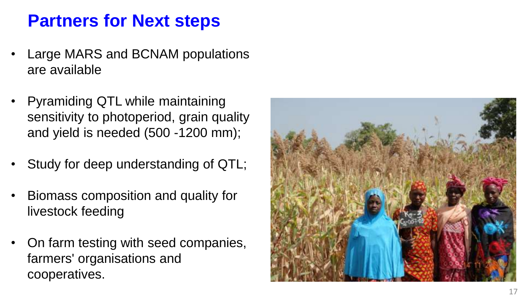#### **Partners for Next steps**

- Large MARS and BCNAM populations are available
- Pyramiding QTL while maintaining sensitivity to photoperiod, grain quality and yield is needed (500 -1200 mm);
- Study for deep understanding of QTL;
- Biomass composition and quality for livestock feeding
- On farm testing with seed companies, farmers' organisations and cooperatives .